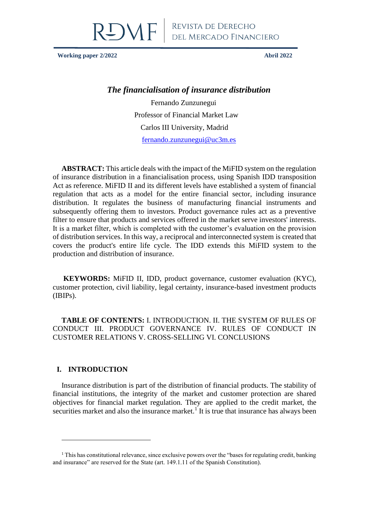

**Working paper 2/2022 Abril 2022**

# *The financialisation of insurance distribution*

Fernando Zunzunegui Professor of Financial Market Law Carlos III University, Madrid [fernando.zunzunegui@uc3m.es](mailto:fernando.zunzunegui@uc3m.es)

**ABSTRACT:** This article deals with the impact of the MiFID system on the regulation of insurance distribution in a financialisation process, using Spanish IDD transposition Act as reference. MiFID II and its different levels have established a system of financial regulation that acts as a model for the entire financial sector, including insurance distribution. It regulates the business of manufacturing financial instruments and subsequently offering them to investors. Product governance rules act as a preventive filter to ensure that products and services offered in the market serve investors' interests. It is a market filter, which is completed with the customer's evaluation on the provision of distribution services. In this way, a reciprocal and interconnected system is created that covers the product's entire life cycle. The IDD extends this MiFID system to the production and distribution of insurance.

**KEYWORDS:** MiFID II, IDD, product governance, customer evaluation (KYC), customer protection, civil liability, legal certainty, insurance-based investment products (IBIPs).

**TABLE OF CONTENTS:** I. INTRODUCTION. II. THE SYSTEM OF RULES OF CONDUCT III. PRODUCT GOVERNANCE IV. RULES OF CONDUCT IN CUSTOMER RELATIONS V. CROSS-SELLING VI. CONCLUSIONS

# **I. INTRODUCTION**

Insurance distribution is part of the distribution of financial products. The stability of financial institutions, the integrity of the market and customer protection are shared objectives for financial market regulation. They are applied to the credit market, the securities market and also the insurance market.<sup>1</sup> It is true that insurance has always been

 $1$  This has constitutional relevance, since exclusive powers over the "bases for regulating credit, banking and insurance" are reserved for the State (art. 149.1.11 of the Spanish Constitution).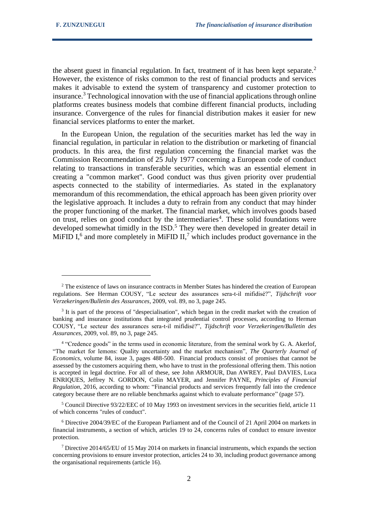the absent guest in financial regulation. In fact, treatment of it has been kept separate.<sup>2</sup> However, the existence of risks common to the rest of financial products and services makes it advisable to extend the system of transparency and customer protection to insurance.<sup>3</sup> Technological innovation with the use of financial applications through online platforms creates business models that combine different financial products, including insurance. Convergence of the rules for financial distribution makes it easier for new financial services platforms to enter the market.

In the European Union, the regulation of the securities market has led the way in financial regulation, in particular in relation to the distribution or marketing of financial products. In this area, the first regulation concerning the financial market was the Commission Recommendation of 25 July 1977 concerning a European code of conduct relating to transactions in transferable securities, which was an essential element in creating a "common market". Good conduct was thus given priority over prudential aspects connected to the stability of intermediaries. As stated in the explanatory memorandum of this recommendation, the ethical approach has been given priority over the legislative approach. It includes a duty to refrain from any conduct that may hinder the proper functioning of the market. The financial market, which involves goods based on trust, relies on good conduct by the intermediaries<sup>4</sup>. These solid foundations were developed somewhat timidly in the ISD.<sup>5</sup> They were then developed in greater detail in MiFID I,<sup>6</sup> and more completely in MiFID II,<sup>7</sup> which includes product governance in the

<sup>5</sup> Council Directive 93/22/EEC of 10 May 1993 on investment services in the securities field, article 11 of which concerns "rules of conduct".

<sup>6</sup> Directive 2004/39/EC of the European Parliament and of the Council of 21 April 2004 on markets in financial instruments, a section of which, articles 19 to 24, concerns rules of conduct to ensure investor protection.

<sup>&</sup>lt;sup>2</sup> The existence of laws on insurance contracts in Member States has hindered the creation of European regulations. See Herman COUSY, "Le secteur des assurances sera-t-il mifidisé?", *Tijdschrift voor Verzekeringen/Bulletin des Assurances*, 2009, vol. 89, no 3, page 245.

<sup>&</sup>lt;sup>3</sup> It is part of the process of "despecialisation", which began in the credit market with the creation of banking and insurance institutions that integrated prudential control processes, according to Herman COUSY, "Le secteur des assurances sera-t-il mifidisé?", *Tijdschrift voor Verzekeringen/Bulletin des Assurances*, 2009, vol. 89, no 3, page 245.

<sup>4</sup> "Credence goods" in the terms used in economic literature, from the seminal work by G. A. Akerlof, "The market for lemons: Quality uncertainty and the market mechanism", *The Quarterly Journal of Economics*, volume 84, issue 3, pages 488-500. Financial products consist of promises that cannot be assessed by the customers acquiring them, who have to trust in the professional offering them. This notion is accepted in legal doctrine. For all of these, see John ARMOUR, Dan AWREY, Paul DAVIES, Luca ENRIQUES, Jeffrey N. GORDON, Colin MAYER, and Jennifer PAYNE, *Principles of Financial Regulation*, 2016, according to whom: "Financial products and services frequently fall into the credence category because there are no reliable benchmarks against which to evaluate performance" (page 57).

<sup>7</sup> Directive 2014/65/EU of 15 May 2014 on markets in financial instruments, which expands the section concerning provisions to ensure investor protection, articles 24 to 30, including product governance among the organisational requirements (article 16).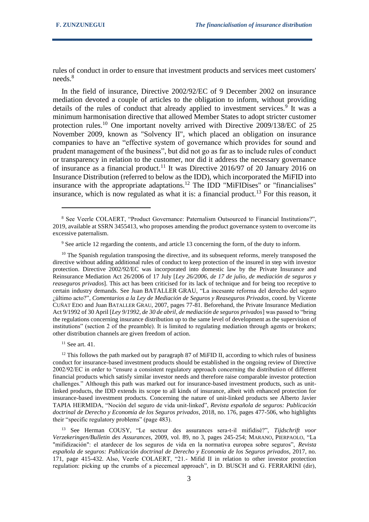rules of conduct in order to ensure that investment products and services meet customers' needs.<sup>8</sup>

In the field of insurance, Directive 2002/92/EC of 9 December 2002 on insurance mediation devoted a couple of articles to the obligation to inform, without providing details of the rules of conduct that already applied to investment services.<sup>9</sup> It was a minimum harmonisation directive that allowed Member States to adopt stricter customer protection rules.<sup>10</sup> One important novelty arrived with Directive 2009/138/EC of 25 November 2009, known as "Solvency II", which placed an obligation on insurance companies to have an "effective system of governance which provides for sound and prudent management of the business", but did not go as far as to include rules of conduct or transparency in relation to the customer, nor did it address the necessary governance of insurance as a financial product.<sup>11</sup> It was Directive 2016/97 of 20 January 2016 on Insurance Distribution (referred to below as the IDD), which incorporated the MiFID into insurance with the appropriate adaptations.<sup>12</sup> The IDD "MiFIDises" or "financialises" insurance, which is now regulated as what it is: a financial product.<sup>13</sup> For this reason, it

 $10$  The Spanish regulation transposing the directive, and its subsequent reforms, merely transposed the directive without adding additional rules of conduct to keep protection of the insured in step with investor protection. Directive 2002/92/EC was incorporated into domestic law by the Private Insurance and Reinsurance Mediation Act 26/2006 of 17 July [*Ley 26/2006, de 17 de julio, de mediación de seguros y reaseguros privados*]. This act has been criticised for its lack of technique and for being too receptive to certain industry demands. See Juan BATALLER GRAU, "La incesante reforma del derecho del seguro ¿último acto?", *Comentarios a la Ley de Mediación de Seguros y Reaseguros Privados*, coord. by Vicente CUÑAT EDO and Juan BATALLER GRAU, 2007, pages 77-81. Beforehand, the Private Insurance Mediation Act 9/1992 of 30 April [*Ley 9/1992, de 30 de abril, de mediación de seguros privados*] was passed to "bring the regulations concerning insurance distribution up to the same level of development as the supervision of institutions" (section 2 of the preamble). It is limited to regulating mediation through agents or brokers; other distribution channels are given freedom of action.

<sup>11</sup> See art. 41.

 $12$  This follows the path marked out by paragraph 87 of MiFID II, according to which rules of business conduct for insurance-based investment products should be established in the ongoing review of Directive 2002/92/EC in order to "ensure a consistent regulatory approach concerning the distribution of different financial products which satisfy similar investor needs and therefore raise comparable investor protection challenges." Although this path was marked out for insurance-based investment products, such as unitlinked products, the IDD extends its scope to all kinds of insurance, albeit with enhanced protection for insurance-based investment products. Concerning the nature of unit-linked products see Alberto Javier TAPIA HERMIDA, "Noción del seguro de vida unit-linked", *Revista española de seguros: Publicación doctrinal de Derecho y Economía de los Seguros privados*, 2018, no. 176, pages 477-506, who highlights their "specific regulatory problems" (page 483).

<sup>13</sup> See Herman COUSY, "Le secteur des assurances sera-t-il mifidisé?", *Tijdschrift voor Verzekeringen/Bulletin des Assurances*, 2009, vol. 89, no 3, pages 245-254; MARANO, PIERPAOLO, "La "mifidización": el atardecer de los seguros de vida en la normativa europea sobre seguros", *Revista española de seguros: Publicación doctrinal de Derecho y Economía de los Seguros privados*, 2017, no. 171, page 415-432. Also, Veerle COLAERT, "21.- Mifid II in relation to other investor protection regulation: picking up the crumbs of a piecemeal approach", in D. BUSCH and G. FERRARINI (dir),

<sup>8</sup> See Veerle COLAERT, "Product Governance: Paternalism Outsourced to Financial Institutions?", 2019, available at SSRN 3455413, who proposes amending the product governance system to overcome its excessive paternalism.

<sup>9</sup> See article 12 regarding the contents, and article 13 concerning the form, of the duty to inform.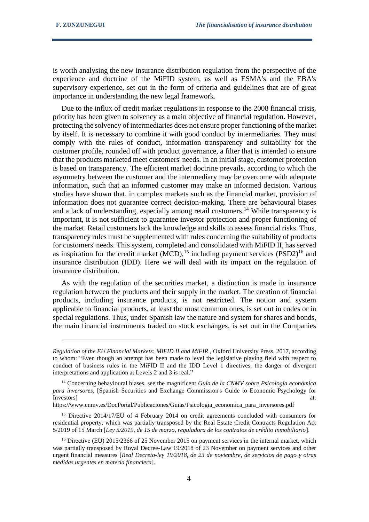is worth analysing the new insurance distribution regulation from the perspective of the experience and doctrine of the MiFID system, as well as ESMA's and the EBA's supervisory experience, set out in the form of criteria and guidelines that are of great importance in understanding the new legal framework.

Due to the influx of credit market regulations in response to the 2008 financial crisis, priority has been given to solvency as a main objective of financial regulation. However, protecting the solvency of intermediaries does not ensure proper functioning of the market by itself. It is necessary to combine it with good conduct by intermediaries. They must comply with the rules of conduct, information transparency and suitability for the customer profile, rounded off with product governance, a filter that is intended to ensure that the products marketed meet customers' needs. In an initial stage, customer protection is based on transparency. The efficient market doctrine prevails, according to which the asymmetry between the customer and the intermediary may be overcome with adequate information, such that an informed customer may make an informed decision. Various studies have shown that, in complex markets such as the financial market, provision of information does not guarantee correct decision-making. There are behavioural biases and a lack of understanding, especially among retail customers.<sup>14</sup> While transparency is important, it is not sufficient to guarantee investor protection and proper functioning of the market. Retail customers lack the knowledge and skills to assess financial risks. Thus, transparency rules must be supplemented with rules concerning the suitability of products for customers' needs. This system, completed and consolidated with MiFID II, has served as inspiration for the credit market  $(MCD)$ ,<sup>15</sup> including payment services  $(PSD2)^{16}$  and insurance distribution (IDD). Here we will deal with its impact on the regulation of insurance distribution.

As with the regulation of the securities market, a distinction is made in insurance regulation between the products and their supply in the market. The creation of financial products, including insurance products, is not restricted. The notion and system applicable to financial products, at least the most common ones, is set out in codes or in special regulations. Thus, under Spanish law the nature and system for shares and bonds, the main financial instruments traded on stock exchanges, is set out in the Companies

https://www.cnmv.es/DocPortal/Publicaciones/Guias/Psicologia\_economica\_para\_inversores.pdf

*Regulation of the EU Financial Markets: MiFID II and MiFIR ,* Oxford University Press, 2017, according to whom: "Even though an attempt has been made to level the legislative playing field with respect to conduct of business rules in the MiFID II and the IDD Level 1 directives, the danger of divergent interpretations and application at Levels 2 and 3 is real."

<sup>14</sup> Concerning behavioural biases, see the magnificent *Guía de la CNMV sobre Psicología económica para inversores*, [Spanish Securities and Exchange Commission's Guide to Economic Psychology for Investors] at:  $\overline{a}$  at:  $\overline{a}$  at:  $\overline{a}$  at:  $\overline{a}$  at:  $\overline{a}$  at:  $\overline{a}$ 

<sup>&</sup>lt;sup>15</sup> Directive 2014/17/EU of 4 February 2014 on credit agreements concluded with consumers for residential property, which was partially transposed by the Real Estate Credit Contracts Regulation Act 5/2019 of 15 March [*Ley 5/2019, de 15 de marzo, reguladora de los contratos de crédito inmobiliario*].

<sup>&</sup>lt;sup>16</sup> Directive (EU) 2015/2366 of 25 November 2015 on payment services in the internal market, which was partially transposed by Royal Decree-Law 19/2018 of 23 November on payment services and other urgent financial measures [*Real Decreto-ley 19/2018, de 23 de noviembre, de servicios de pago y otras medidas urgentes en materia financiera*].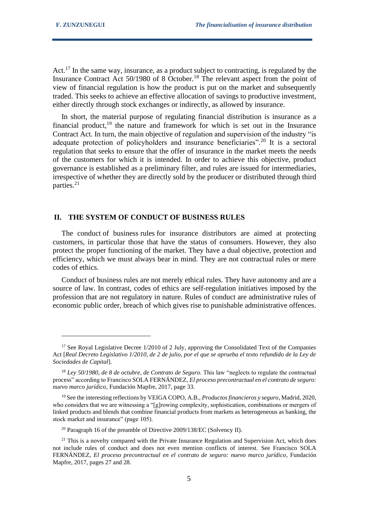Act.<sup>17</sup> In the same way, insurance, as a product subject to contracting, is regulated by the Insurance Contract Act 50/1980 of 8 October.<sup>18</sup> The relevant aspect from the point of view of financial regulation is how the product is put on the market and subsequently traded. This seeks to achieve an effective allocation of savings to productive investment, either directly through stock exchanges or indirectly, as allowed by insurance.

In short, the material purpose of regulating financial distribution is insurance as a financial product,<sup>19</sup> the nature and framework for which is set out in the Insurance Contract Act. In turn, the main objective of regulation and supervision of the industry "is adequate protection of policyholders and insurance beneficiaries".<sup>20</sup> It is a sectoral regulation that seeks to ensure that the offer of insurance in the market meets the needs of the customers for which it is intended. In order to achieve this objective, product governance is established as a preliminary filter, and rules are issued for intermediaries, irrespective of whether they are directly sold by the producer or distributed through third parties.<sup>21</sup>

### **II. THE SYSTEM OF CONDUCT OF BUSINESS RULES**

The conduct of business rules for insurance distributors are aimed at protecting customers, in particular those that have the status of consumers. However, they also protect the proper functioning of the market. They have a dual objective, protection and efficiency, which we must always bear in mind. They are not contractual rules or mere codes of ethics.

Conduct of business rules are not merely ethical rules. They have autonomy and are a source of law. In contrast, codes of ethics are self-regulation initiatives imposed by the profession that are not regulatory in nature. Rules of conduct are administrative rules of economic public order, breach of which gives rise to punishable administrative offences.

<sup>&</sup>lt;sup>17</sup> See Royal Legislative Decree 1/2010 of 2 July, approving the Consolidated Text of the Companies Act [*Real Decreto Legislativo 1/2010, de 2 de julio, por el que se aprueba el texto refundido de la Ley de Sociedades de Capital*].

<sup>&</sup>lt;sup>18</sup> *Ley 50/1980, de 8 de octubre, de Contrato de Seguro.* This law "neglects to regulate the contractual process" according to Francisco SOLA FERNÁNDEZ, *El proceso precontractual en el contrato de seguro: nuevo marco jurídico*, Fundación Mapfre, 2017, page 33.

<sup>19</sup> See the interesting reflections by VEIGA COPO, A.B., *Productos financieros y seguro*, Madrid, 2020, who considers that we are witnessing a "[g]rowing complexity, sophistication, combinations or mergers of linked products and blends that combine financial products from markets as heterogeneous as banking, the stock market and insurance" (page 105).

<sup>&</sup>lt;sup>20</sup> Paragraph 16 of the preamble of Directive 2009/138/EC (Solvency II).

<sup>&</sup>lt;sup>21</sup> This is a novelty compared with the Private Insurance Regulation and Supervision Act, which does not include rules of conduct and does not even mention conflicts of interest. See Francisco SOLA FERNÁNDEZ, *El proceso precontractual en el contrato de seguro: nuevo marco jurídico*, Fundación Mapfre, 2017, pages 27 and 28.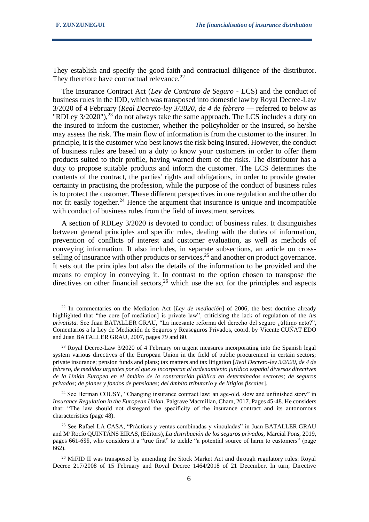They establish and specify the good faith and contractual diligence of the distributor. They therefore have contractual relevance.<sup>22</sup>

The Insurance Contract Act (*Ley de Contrato de Seguro* - LCS) and the conduct of business rules in the IDD, which was transposed into domestic law by Royal Decree-Law 3/2020 of 4 February (*Real Decreto-ley 3/2020, de 4 de febrero* — referred to below as "RDLey  $3/2020$ "),<sup>23</sup> do not always take the same approach. The LCS includes a duty on the insured to inform the customer, whether the policyholder or the insured, so he/she may assess the risk. The main flow of information is from the customer to the insurer. In principle, it is the customer who best knows the risk being insured. However, the conduct of business rules are based on a duty to know your customers in order to offer them products suited to their profile, having warned them of the risks. The distributor has a duty to propose suitable products and inform the customer. The LCS determines the contents of the contract, the parties' rights and obligations, in order to provide greater certainty in practising the profession, while the purpose of the conduct of business rules is to protect the customer. These different perspectives in one regulation and the other do not fit easily together.<sup>24</sup> Hence the argument that insurance is unique and incompatible with conduct of business rules from the field of investment services.

A section of RDLey 3/2020 is devoted to conduct of business rules. It distinguishes between general principles and specific rules, dealing with the duties of information, prevention of conflicts of interest and customer evaluation, as well as methods of conveying information. It also includes, in separate subsections, an article on crossselling of insurance with other products or services,  $2<sup>5</sup>$  and another on product governance. It sets out the principles but also the details of the information to be provided and the means to employ in conveying it. In contrast to the option chosen to transpose the directives on other financial sectors,  $26$  which use the act for the principles and aspects

<sup>22</sup> In commentaries on the Mediation Act [*Ley de mediación*] of 2006, the best doctrine already highlighted that "the core [of mediation] is private law", criticising the lack of regulation of the *ius privatista.* See Juan BATALLER GRAU, "La incesante reforma del derecho del seguro ¿último acto?", Comentarios a la Ley de Mediación de Seguros y Reaseguros Privados, coord. by Vicente CUÑAT EDO and Juan BATALLER GRAU, 2007, pages 79 and 80.

<sup>&</sup>lt;sup>23</sup> Royal Decree-Law 3/2020 of 4 February on urgent measures incorporating into the Spanish legal system various directives of the European Union in the field of public procurement in certain sectors; private insurance; pension funds and plans; tax matters and tax litigation [*Real Decreto-ley 3/2020, de 4 de febrero, de medidas urgentes por el que se incorporan al ordenamiento jurídico español diversas directives de la Unión Europea en el ámbito de la contratación pública en determinados sectores; de seguros privados; de planes y fondos de pensiones; del ámbito tributario y de litigios fiscales*].

<sup>&</sup>lt;sup>24</sup> See Herman COUSY, "Changing insurance contract law: an age-old, slow and unfinished story" in *Insurance Regulation in the European Union*. Palgrave Macmillan, Cham, 2017. Pages 45-48. He considers that: "The law should not disregard the specificity of the insurance contract and its autonomous characteristics (page 48).

<sup>25</sup> See Rafael LA CASA, "Prácticas y ventas combinadas y vinculadas" in Juan BATALLER GRAU and Mª Rocío QUINTÁNS EIRAS, (Editors), *La distribución de los seguros privados,* Marcial Pons, 2019, pages 661-688, who considers it a "true first" to tackle "a potential source of harm to customers" (page 662).

<sup>&</sup>lt;sup>26</sup> MiFID II was transposed by amending the Stock Market Act and through regulatory rules: Royal Decree 217/2008 of 15 February and Royal Decree 1464/2018 of 21 December. In turn, Directive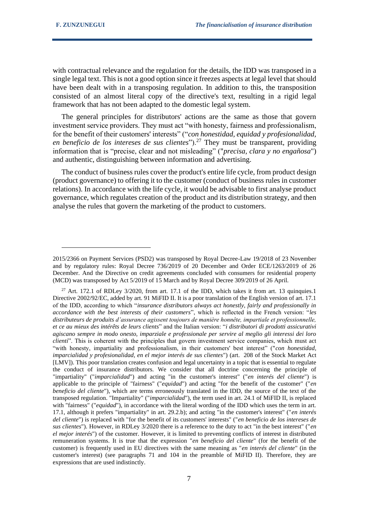with contractual relevance and the regulation for the details, the IDD was transposed in a single legal text. This is not a good option since it freezes aspects at legal level that should have been dealt with in a transposing regulation. In addition to this, the transposition consisted of an almost literal copy of the directive's text, resulting in a rigid legal framework that has not been adapted to the domestic legal system.

The general principles for distributors' actions are the same as those that govern investment service providers. They must act "with honesty, fairness and professionalism, for the benefit of their customers' interests" ("*con honestidad, equidad y profesionalidad, en beneficio de los intereses de sus clientes*").<sup>27</sup> They must be transparent, providing information that is "precise, clear and not misleading" ("*precisa, clara y no engañosa*") and authentic, distinguishing between information and advertising.

The conduct of business rules cover the product's entire life cycle, from product design (product governance) to offering it to the customer (conduct of business rules in customer relations). In accordance with the life cycle, it would be advisable to first analyse product governance, which regulates creation of the product and its distribution strategy, and then analyse the rules that govern the marketing of the product to customers.

<sup>2015/2366</sup> on Payment Services (PSD2) was transposed by Royal Decree-Law 19/2018 of 23 November and by regulatory rules: Royal Decree 736/2019 of 20 December and Order ECE/1263/2019 of 26 December. And the Directive on credit agreements concluded with consumers for residential property (MCD) was transposed by Act 5/2019 of 15 March and by Royal Decree 309/2019 of 26 April.

<sup>&</sup>lt;sup>27</sup> Art. 172.1 of RDLey  $3/2020$ , from art. 17.1 of the IDD, which takes it from art. 13 quinquies.1 Directive 2002/92/EC, added by art. 91 MiFID II. It is a poor translation of the English version of art. 17.1 of the IDD, according to which "*insurance distributors always act honestly, fairly and professionally in accordance with the best interests of their customers*", which is reflected in the French version: "*les distributeurs de produits d'assurance agissent toujours de manière honnête, impartiale et professionnelle, et ce au mieux des intérêts de leurs clients*" and the Italian version: "*i distributori di prodotti assicurativi agiscano sempre in modo onesto, imparziale e professionale per servire al meglio gli interessi dei loro clienti*". This is coherent with the principles that govern investment service companies, which must act "with honesty, impartiality and professionalism, in their customers' best interest" ("*con honestidad, imparcialidad y profesionalidad, en el mejor interés de sus clientes*") (art. 208 of the Stock Market Act [LMV]). This poor translation creates confusion and legal uncertainty in a topic that is essential to regulate the conduct of insurance distributors. We consider that all doctrine concerning the principle of "impartiality" ("*imparcialidad*") and acting "in the customer's interest" ("*en interés del cliente*") is applicable to the principle of "fairness" ("*equidad*") and acting "for the benefit of the customer" ("*en beneficio del cliente*"), which are terms erroneously translated in the IDD, the source of the text of the transposed regulation. "Impartiality" ("*imparcialidad*"), the term used in art. 24.1 of MiFID II, is replaced with "fairness" ("*equidad*"), in accordance with the literal wording of the IDD which uses the term in art. 17.1, although it prefers "impartiality" in art. 29.2.b); and acting "in the customer's interest" ("*en interés del cliente*") is replaced with "for the benefit of its customers' interests" ("*en beneficio de los intereses de sus clientes*"). However, in RDLey 3/2020 there is a reference to the duty to act "in the best interest" ("*en el mejor interés*") of the customer. However, it is limited to preventing conflicts of interest in distributed remuneration systems. It is true that the expression "*en beneficio del cliente*" (for the benefit of the customer) is frequently used in EU directives with the same meaning as "*en interés del cliente*" (in the customer's interest) (see paragraphs 71 and 104 in the preamble of MiFID II). Therefore, they are expressions that are used indistinctly.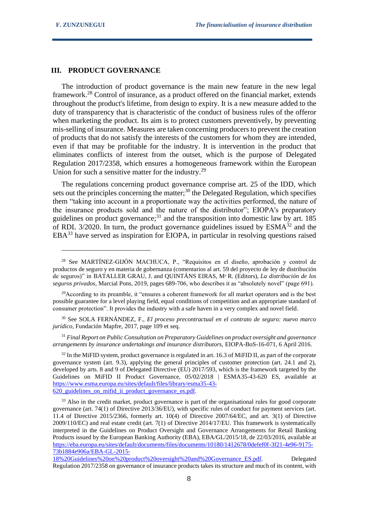#### **III. PRODUCT GOVERNANCE**

The introduction of product governance is the main new feature in the new legal framework.<sup>28</sup> Control of insurance, as a product offered on the financial market, extends throughout the product's lifetime, from design to expiry. It is a new measure added to the duty of transparency that is characteristic of the conduct of business rules of the offeror when marketing the product. Its aim is to protect customers preventively, by preventing mis-selling of insurance. Measures are taken concerning producers to prevent the creation of products that do not satisfy the interests of the customers for whom they are intended, even if that may be profitable for the industry. It is intervention in the product that eliminates conflicts of interest from the outset, which is the purpose of Delegated Regulation 2017/2358, which ensures a homogeneous framework within the European Union for such a sensitive matter for the industry.<sup>29</sup>

The regulations concerning product governance comprise art. 25 of the IDD, which sets out the principles concerning the matter; $30$  the Delegated Regulation, which specifies them "taking into account in a proportionate way the activities performed, the nature of the insurance products sold and the nature of the distributor"; EIOPA's preparatory guidelines on product governance; $31$  and the transposition into domestic law by art. 185 of RDL 3/2020. In turn, the product governance guidelines issued by  $ESMA<sup>32</sup>$  and the  $EBA<sup>33</sup>$  have served as inspiration for EIOPA, in particular in resolving questions raised

<sup>29</sup>According to its preamble, it "ensures a coherent framework for all market operators and is the best possible guarantee for a level playing field, equal conditions of competition and an appropriate standard of consumer protection". It provides the industry with a safe haven in a very complex and novel field.

<sup>30</sup> See SOLA FERNÁNDEZ, F., *El proceso precontractual en el contrato de seguro: nuevo marco jurídico*, Fundación Mapfre, 2017, page 109 et seq.

<sup>31</sup> *Final Report on Public Consultation on Preparatory Guidelines on product oversight and governance arrangements by insurance undertakings and insurance distributors,* EIOPA-BoS-16-071, 6 April 2016.

 $32$  In the MiFID system, product governance is regulated in art. 16.3 of MiFID II, as part of the corporate governance system (art. 9.3), applying the general principles of customer protection (art. 24.1 and 2), developed by arts. 8 and 9 of Delegated Directive (EU) 2017/593, which is the framework targeted by the Guidelines on MiFID II Product Governance, 05/02/2018 | ESMA35-43-620 ES, available at [https://www.esma.europa.eu/sites/default/files/library/esma35-43-](https://www.esma.europa.eu/sites/default/files/library/esma35-43-620_guidelines_on_mifid_ii_product_governance_es.pdf) [620\\_guidelines\\_on\\_mifid\\_ii\\_product\\_governance\\_es.pdf.](https://www.esma.europa.eu/sites/default/files/library/esma35-43-620_guidelines_on_mifid_ii_product_governance_es.pdf)

<sup>33</sup> Also in the credit market, product governance is part of the organisational rules for good corporate governance (art. 74(1) of Directive 2013/36/EU), with specific rules of conduct for payment services (art. 11.4 of Directive 2015/2366, formerly art. 10(4) of Directive 2007/64/EC, and art. 3(1) of Directive 2009/110/EC) and real estate credit (art. 7(1) of Directive 2014/17/EU. This framework is systematically interpreted in the Guidelines on Product Oversight and Governance Arrangements for Retail Banking Products issued by the European Banking Authority (EBA), EBA/GL/2015/18, de 22/03/2016, available at [https://eba.europa.eu/sites/default/documents/files/documents/10180/1412678/0defef0f-3f21-4e96-9175-](https://eba.europa.eu/sites/default/documents/files/documents/10180/1412678/0defef0f-3f21-4e96-9175-73b1884e906a/EBA-GL-2015-18%20Guidelines%20on%20product%20oversight%20and%20Governance_ES.pdf) [73b1884e906a/EBA-GL-2015-](https://eba.europa.eu/sites/default/documents/files/documents/10180/1412678/0defef0f-3f21-4e96-9175-73b1884e906a/EBA-GL-2015-18%20Guidelines%20on%20product%20oversight%20and%20Governance_ES.pdf)

[18%20Guidelines%20on%20product%20oversight%20and%20Governance\\_ES.pdf.](https://eba.europa.eu/sites/default/documents/files/documents/10180/1412678/0defef0f-3f21-4e96-9175-73b1884e906a/EBA-GL-2015-18%20Guidelines%20on%20product%20oversight%20and%20Governance_ES.pdf) Delegated Regulation 2017/2358 on governance of insurance products takes its structure and much of its content, with

<sup>28</sup> See MARTÍNEZ-GIJÓN MACHUCA, P., "Requisitos en el diseño, aprobación y control de productos de seguro y en materia de gobernanza (comentarios al art. 59 del proyecto de ley de distribución de seguros)" in BATALLER GRAU, J. and QUINTÁNS EIRAS, Mª R. (Editors), *La distribución de los seguros privados,* Marcial Pons, 2019, pages 689-706, who describes it as "absolutely novel" (page 691).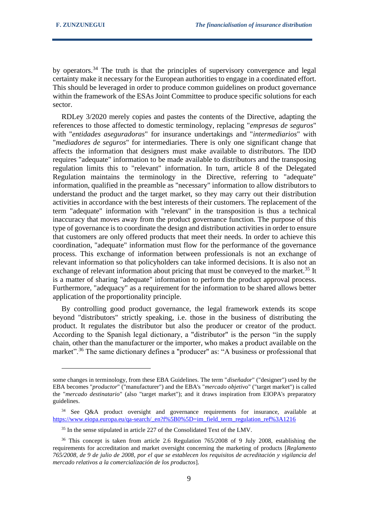by operators.<sup>34</sup> The truth is that the principles of supervisory convergence and legal certainty make it necessary for the European authorities to engage in a coordinated effort. This should be leveraged in order to produce common guidelines on product governance within the framework of the ESAs Joint Committee to produce specific solutions for each sector.

RDLey 3/2020 merely copies and pastes the contents of the Directive, adapting the references to those affected to domestic terminology, replacing "*empresas de seguros*" with "*entidades aseguradoras*" for insurance undertakings and "*intermediarios*" with "*mediadores de seguros*" for intermediaries. There is only one significant change that affects the information that designers must make available to distributors. The IDD requires "adequate" information to be made available to distributors and the transposing regulation limits this to "relevant" information. In turn, article 8 of the Delegated Regulation maintains the terminology in the Directive, referring to "adequate" information, qualified in the preamble as "necessary" information to allow distributors to understand the product and the target market, so they may carry out their distribution activities in accordance with the best interests of their customers. The replacement of the term "adequate" information with "relevant" in the transposition is thus a technical inaccuracy that moves away from the product governance function. The purpose of this type of governance is to coordinate the design and distribution activities in order to ensure that customers are only offered products that meet their needs. In order to achieve this coordination, "adequate" information must flow for the performance of the governance process. This exchange of information between professionals is not an exchange of relevant information so that policyholders can take informed decisions. It is also not an exchange of relevant information about pricing that must be conveyed to the market.<sup>35</sup> It is a matter of sharing "adequate" information to perform the product approval process. Furthermore, "adequacy" as a requirement for the information to be shared allows better application of the proportionality principle.

By controlling good product governance, the legal framework extends its scope beyond "distributors" strictly speaking, i.e. those in the business of distributing the product. It regulates the distributor but also the producer or creator of the product. According to the Spanish legal dictionary, a "distributor" is the person "in the supply chain, other than the manufacturer or the importer, who makes a product available on the market".<sup>36</sup> The same dictionary defines a "producer" as: "A business or professional that

some changes in terminology, from these EBA Guidelines. The term "*diseñador*" ("designer") used by the EBA becomes "*productor*" ("manufacturer") and the EBA's "*mercado objetivo*" ("target market") is called the "*mercado destinatario*" (also "target market"); and it draws inspiration from EIOPA's preparatory guidelines.

<sup>&</sup>lt;sup>34</sup> See Q&A product oversight and governance requirements for insurance, available at [https://www.eiopa.europa.eu/qa-search/\\_en?f%5B0%5D=im\\_field\\_term\\_regulation\\_ref%3A1216](https://www.eiopa.europa.eu/qa-search/_en?f%5B0%5D=im_field_term_regulation_ref%3A1216)

<sup>&</sup>lt;sup>35</sup> In the sense stipulated in article 227 of the Consolidated Text of the LMV.

<sup>&</sup>lt;sup>36</sup> This concept is taken from article 2.6 Regulation 765/2008 of 9 July 2008, establishing the requirements for accreditation and market oversight concerning the marketing of products [*Reglamento 765/2008, de 9 de julio de 2008, por el que se establecen los requisitos de acreditación y vigilancia del mercado relativos a la comercialización de los productos*].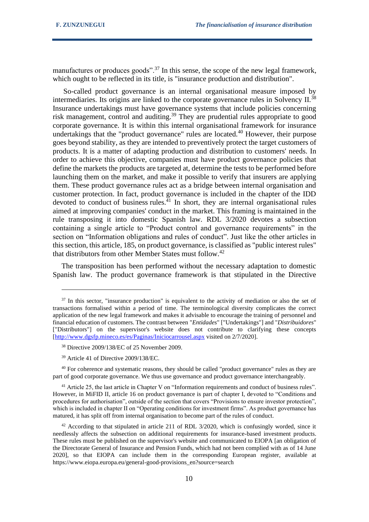manufactures or produces goods".<sup>37</sup> In this sense, the scope of the new legal framework, which ought to be reflected in its title, is "insurance production and distribution".

So-called product governance is an internal organisational measure imposed by intermediaries. Its origins are linked to the corporate governance rules in Solvency II.<sup>38</sup> Insurance undertakings must have governance systems that include policies concerning risk management, control and auditing.<sup>39</sup> They are prudential rules appropriate to good corporate governance. It is within this internal organisational framework for insurance undertakings that the "product governance" rules are located.<sup>40</sup> However, their purpose goes beyond stability, as they are intended to preventively protect the target customers of products. It is a matter of adapting production and distribution to customers' needs. In order to achieve this objective, companies must have product governance policies that define the markets the products are targeted at, determine the tests to be performed before launching them on the market, and make it possible to verify that insurers are applying them. These product governance rules act as a bridge between internal organisation and customer protection. In fact, product governance is included in the chapter of the IDD devoted to conduct of business rules.<sup>41</sup> In short, they are internal organisational rules aimed at improving companies' conduct in the market. This framing is maintained in the rule transposing it into domestic Spanish law. RDL 3/2020 devotes a subsection containing a single article to "Product control and governance requirements" in the section on "Information obligations and rules of conduct". Just like the other articles in this section, this article, 185, on product governance, is classified as "public interest rules" that distributors from other Member States must follow.<sup>42</sup>

The transposition has been performed without the necessary adaptation to domestic Spanish law. The product governance framework is that stipulated in the Directive

<sup>&</sup>lt;sup>37</sup> In this sector, "insurance production" is equivalent to the activity of mediation or also the set of transactions formalised within a period of time. The terminological diversity complicates the correct application of the new legal framework and makes it advisable to encourage the training of personnel and financial education of customers. The contrast between "*Entidades*" ["Undertakings"] and "*Distribuidores*" ["Distributors"] on the supervisor's website does not contribute to clarifying these concepts [\[http://www.dgsfp.mineco.es/es/Paginas/Iniciocarrousel.aspx](http://www.dgsfp.mineco.es/es/Paginas/Iniciocarrousel.aspx) visited on 2/7/2020].

<sup>38</sup> Directive 2009/138/EC of 25 November 2009.

<sup>39</sup> Article 41 of Directive 2009/138/EC.

<sup>&</sup>lt;sup>40</sup> For coherence and systematic reasons, they should be called "product governance" rules as they are part of good corporate governance. We thus use governance and product governance interchangeably.

<sup>41</sup> Article 25, the last article in Chapter V on "Information requirements and conduct of business rules". However, in MiFID II, article 16 on product governance is part of chapter I, devoted to "Conditions and procedures for authorisation", outside of the section that covers "Provisions to ensure investor protection", which is included in chapter II on "Operating conditions for investment firms". As product governance has matured, it has split off from internal organisation to become part of the rules of conduct.

 $42$  According to that stipulated in article 211 of RDL 3/2020, which is confusingly worded, since it needlessly affects the subsection on additional requirements for insurance-based investment products. These rules must be published on the supervisor's website and communicated to EIOPA [an obligation of the Directorate General of Insurance and Pension Funds, which had not been complied with as of 14 June 2020], so that EIOPA can include them in the corresponding European register, available at https://www.eiopa.europa.eu/general-good-provisions\_en?source=search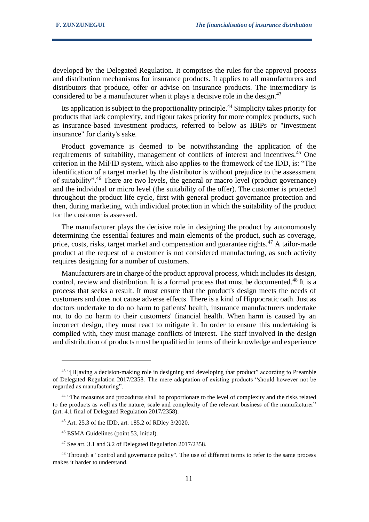developed by the Delegated Regulation. It comprises the rules for the approval process and distribution mechanisms for insurance products. It applies to all manufacturers and distributors that produce, offer or advise on insurance products. The intermediary is considered to be a manufacturer when it plays a decisive role in the design.<sup>43</sup>

Its application is subject to the proportionality principle.<sup>44</sup> Simplicity takes priority for products that lack complexity, and rigour takes priority for more complex products, such as insurance-based investment products, referred to below as IBIPs or "investment insurance" for clarity's sake.

Product governance is deemed to be notwithstanding the application of the requirements of suitability, management of conflicts of interest and incentives.<sup>45</sup> One criterion in the MiFID system, which also applies to the framework of the IDD, is: "The identification of a target market by the distributor is without prejudice to the assessment of suitability".<sup>46</sup> There are two levels, the general or macro level (product governance) and the individual or micro level (the suitability of the offer). The customer is protected throughout the product life cycle, first with general product governance protection and then, during marketing, with individual protection in which the suitability of the product for the customer is assessed.

The manufacturer plays the decisive role in designing the product by autonomously determining the essential features and main elements of the product, such as coverage, price, costs, risks, target market and compensation and guarantee rights. $47$  A tailor-made product at the request of a customer is not considered manufacturing, as such activity requires designing for a number of customers.

Manufacturers are in charge of the product approval process, which includes its design, control, review and distribution. It is a formal process that must be documented.<sup>48</sup> It is a process that seeks a result. It must ensure that the product's design meets the needs of customers and does not cause adverse effects. There is a kind of Hippocratic oath. Just as doctors undertake to do no harm to patients' health, insurance manufacturers undertake not to do no harm to their customers' financial health. When harm is caused by an incorrect design, they must react to mitigate it. In order to ensure this undertaking is complied with, they must manage conflicts of interest. The staff involved in the design and distribution of products must be qualified in terms of their knowledge and experience

<sup>&</sup>lt;sup>43</sup> "[H]aving a decision-making role in designing and developing that product" according to Preamble of Delegated Regulation 2017/2358. The mere adaptation of existing products "should however not be regarded as manufacturing".

<sup>&</sup>lt;sup>44</sup> "The measures and procedures shall be proportionate to the level of complexity and the risks related to the products as well as the nature, scale and complexity of the relevant business of the manufacturer" (art. 4.1 final of Delegated Regulation 2017/2358).

<sup>45</sup> Art. 25.3 of the IDD, art. 185.2 of RDley 3/2020.

<sup>46</sup> ESMA Guidelines (point 53, initial).

<sup>47</sup> See art. 3.1 and 3.2 of Delegated Regulation 2017/2358.

<sup>&</sup>lt;sup>48</sup> Through a "control and governance policy". The use of different terms to refer to the same process makes it harder to understand.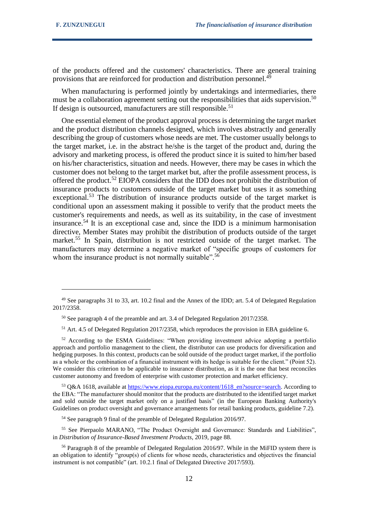of the products offered and the customers' characteristics. There are general training provisions that are reinforced for production and distribution personnel.<sup>49</sup>

When manufacturing is performed jointly by undertakings and intermediaries, there must be a collaboration agreement setting out the responsibilities that aids supervision.<sup>50</sup> If design is outsourced, manufacturers are still responsible.<sup>51</sup>

One essential element of the product approval process is determining the target market and the product distribution channels designed, which involves abstractly and generally describing the group of customers whose needs are met. The customer usually belongs to the target market, i.e. in the abstract he/she is the target of the product and, during the advisory and marketing process, is offered the product since it is suited to him/her based on his/her characteristics, situation and needs. However, there may be cases in which the customer does not belong to the target market but, after the profile assessment process, is offered the product.<sup>52</sup> EIOPA considers that the IDD does not prohibit the distribution of insurance products to customers outside of the target market but uses it as something exceptional.<sup>53</sup> The distribution of insurance products outside of the target market is conditional upon an assessment making it possible to verify that the product meets the customer's requirements and needs, as well as its suitability, in the case of investment insurance.<sup>54</sup> It is an exceptional case and, since the IDD is a minimum harmonisation directive, Member States may prohibit the distribution of products outside of the target market.<sup>55</sup> In Spain, distribution is not restricted outside of the target market. The manufacturers may determine a negative market of "specific groups of customers for whom the insurance product is not normally suitable".<sup>56</sup>

<sup>51</sup> Art. 4.5 of Delegated Regulation 2017/2358, which reproduces the provision in EBA guideline 6.

53 Q&A 1618, available at [https://www.eiopa.europa.eu/content/1618\\_en?source=search.](https://www.eiopa.europa.eu/content/1618_en?source=search) According to the EBA: "The manufacturer should monitor that the products are distributed to the identified target market and sold outside the target market only on a justified basis" (in the European Banking Authority's Guidelines on product oversight and governance arrangements for retail banking products, guideline 7.2).

<sup>54</sup> See paragraph 9 final of the preamble of Delegated Regulation 2016/97.

<sup>55</sup> See Pierpaolo MARANO, "The Product Oversight and Governance: Standards and Liabilities", in *Distribution of Insurance-Based Investment Products*, 2019, page 88.

<sup>&</sup>lt;sup>49</sup> See paragraphs 31 to 33, art. 10.2 final and the Annex of the IDD; art. 5.4 of Delegated Regulation 2017/2358.

<sup>50</sup> See paragraph 4 of the preamble and art. 3.4 of Delegated Regulation 2017/2358.

<sup>&</sup>lt;sup>52</sup> According to the ESMA Guidelines: "When providing investment advice adopting a portfolio approach and portfolio management to the client, the distributor can use products for diversification and hedging purposes. In this context, products can be sold outside of the product target market, if the portfolio as a whole or the combination of a financial instrument with its hedge is suitable for the client." (Point 52). We consider this criterion to be applicable to insurance distribution, as it is the one that best reconciles customer autonomy and freedom of enterprise with customer protection and market efficiency.

<sup>&</sup>lt;sup>56</sup> Paragraph 8 of the preamble of Delegated Regulation 2016/97. While in the MiFID system there is an obligation to identify "group(s) of clients for whose needs, characteristics and objectives the financial instrument is not compatible" (art. 10.2.1 final of Delegated Directive 2017/593).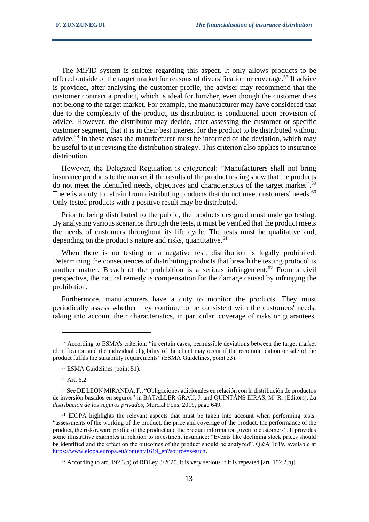The MiFID system is stricter regarding this aspect. It only allows products to be offered outside of the target market for reasons of diversification or coverage.<sup>57</sup> If advice is provided, after analysing the customer profile, the adviser may recommend that the customer contract a product, which is ideal for him/her, even though the customer does not belong to the target market. For example, the manufacturer may have considered that due to the complexity of the product, its distribution is conditional upon provision of advice. However, the distributor may decide, after assessing the customer or specific customer segment, that it is in their best interest for the product to be distributed without advice.<sup>58</sup> In these cases the manufacturer must be informed of the deviation, which may be useful to it in revising the distribution strategy. This criterion also applies to insurance distribution.

However, the Delegated Regulation is categorical: "Manufacturers shall not bring insurance products to the market if the results of the product testing show that the products do not meet the identified needs, objectives and characteristics of the target market".<sup>59</sup> There is a duty to refrain from distributing products that do not meet customers' needs.<sup>60</sup> Only tested products with a positive result may be distributed.

Prior to being distributed to the public, the products designed must undergo testing. By analysing various scenarios through the tests, it must be verified that the product meets the needs of customers throughout its life cycle. The tests must be qualitative and, depending on the product's nature and risks, quantitative. $61$ 

When there is no testing or a negative test, distribution is legally prohibited. Determining the consequences of distributing products that breach the testing protocol is another matter. Breach of the prohibition is a serious infringement.<sup>62</sup> From a civil perspective, the natural remedy is compensation for the damage caused by infringing the prohibition.

Furthermore, manufacturers have a duty to monitor the products. They must periodically assess whether they continue to be consistent with the customers' needs, taking into account their characteristics, in particular, coverage of risks or guarantees.

<sup>59</sup> Art. 6.2.

<sup>&</sup>lt;sup>57</sup> According to ESMA's criterion: "in certain cases, permissible deviations between the target market identification and the individual eligibility of the client may occur if the recommendation or sale of the product fulfils the suitability requirements" (ESMA Guidelines, point 53).

<sup>58</sup> ESMA Guidelines (point 51).

 $60$  See DE LEÓN MIRANDA, F., "Obligaciones adicionales en relación con la distribución de productos de inversión basados en seguros" in BATALLER GRAU, J. and QUINTÁNS EIRAS, Mª R. (Editors), *La distribución de los seguros privados,* Marcial Pons, 2019, page 649.

 $<sup>61</sup>$  EIOPA highlights the relevant aspects that must be taken into account when performing tests:</sup> "assessments of the working of the product, the price and coverage of the product, the performance of the product, the risk/reward profile of the product and the product information given to customers". It provides some illustrative examples in relation to investment insurance: "Events like declining stock prices should be identified and the effect on the outcomes of the product should be analyzed". Q&A 1619, available at [https://www.eiopa.europa.eu/content/1619\\_en?source=search.](https://www.eiopa.europa.eu/content/1619_en?source=search)

 $62$  According to art. 192.3.b) of RDLey 3/2020, it is very serious if it is repeated [art. 192.2.b)].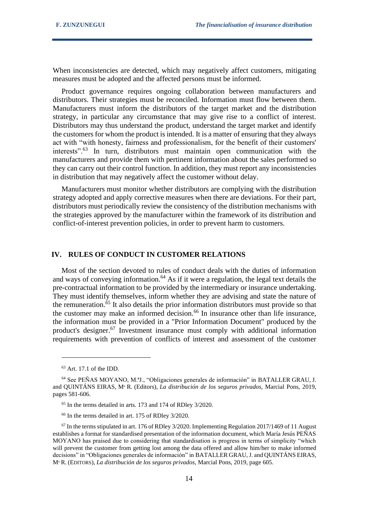When inconsistencies are detected, which may negatively affect customers, mitigating measures must be adopted and the affected persons must be informed.

Product governance requires ongoing collaboration between manufacturers and distributors. Their strategies must be reconciled. Information must flow between them. Manufacturers must inform the distributors of the target market and the distribution strategy, in particular any circumstance that may give rise to a conflict of interest. Distributors may thus understand the product, understand the target market and identify the customers for whom the product is intended. It is a matter of ensuring that they always act with "with honesty, fairness and professionalism, for the benefit of their customers' interests".<sup>63</sup> In turn, distributors must maintain open communication with the manufacturers and provide them with pertinent information about the sales performed so they can carry out their control function. In addition, they must report any inconsistencies in distribution that may negatively affect the customer without delay.

Manufacturers must monitor whether distributors are complying with the distribution strategy adopted and apply corrective measures when there are deviations. For their part, distributors must periodically review the consistency of the distribution mechanisms with the strategies approved by the manufacturer within the framework of its distribution and conflict-of-interest prevention policies, in order to prevent harm to customers.

# **IV. RULES OF CONDUCT IN CUSTOMER RELATIONS**

Most of the section devoted to rules of conduct deals with the duties of information and ways of conveying information.<sup>64</sup> As if it were a regulation, the legal text details the pre-contractual information to be provided by the intermediary or insurance undertaking. They must identify themselves, inform whether they are advising and state the nature of the remuneration.<sup>65</sup> It also details the prior information distributors must provide so that the customer may make an informed decision.<sup>66</sup> In insurance other than life insurance, the information must be provided in a "Prior Information Document" produced by the product's designer.<sup>67</sup> Investment insurance must comply with additional information requirements with prevention of conflicts of interest and assessment of the customer

<sup>63</sup> Art. 17.1 of the IDD.

<sup>64</sup> See PEÑAS MOYANO, M.ªJ., "Obligaciones generales de información" in BATALLER GRAU, J. and QUINTÁNS EIRAS, Mª R. (Editors), *La distribución de los seguros privados,* Marcial Pons, 2019, pages 581-606.

<sup>65</sup> In the terms detailed in arts. 173 and 174 of RDley 3/2020.

<sup>66</sup> In the terms detailed in art. 175 of RDley 3/2020.

 $67$  In the terms stipulated in art. 176 of RDley 3/2020. Implementing Regulation 2017/1469 of 11 August establishes a format for standardised presentation of the information document, which María Jesús PEÑAS MOYANO has praised due to considering that standardisation is progress in terms of simplicity "which will prevent the customer from getting lost among the data offered and allow him/her to make informed decisions" in "Obligaciones generales de información" in BATALLER GRAU, J. and QUINTÁNS EIRAS, Mª R. (EDITORS), *La distribución de los seguros privados,* Marcial Pons, 2019, page 605.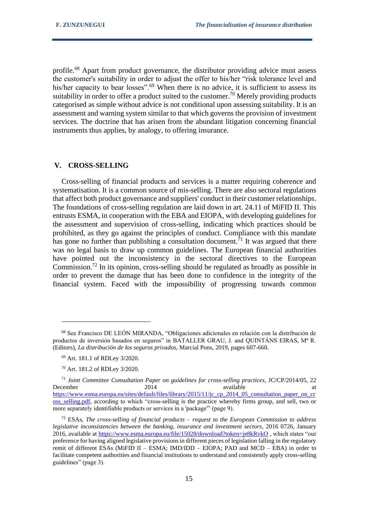profile.<sup>68</sup> Apart from product governance, the distributor providing advice must assess the customer's suitability in order to adjust the offer to his/her "risk tolerance level and his/her capacity to bear losses".<sup>69</sup> When there is no advice, it is sufficient to assess its suitability in order to offer a product suited to the customer.<sup>70</sup> Merely providing products categorised as simple without advice is not conditional upon assessing suitability. It is an assessment and warning system similar to that which governs the provision of investment services. The doctrine that has arisen from the abundant litigation concerning financial instruments thus applies, by analogy, to offering insurance.

#### **V. CROSS-SELLING**

Cross-selling of financial products and services is a matter requiring coherence and systematisation. It is a common source of mis-selling. There are also sectoral regulations that affect both product governance and suppliers' conduct in their customer relationships. The foundations of cross-selling regulation are laid down in art. 24.11 of MiFID II. This entrusts ESMA, in cooperation with the EBA and EIOPA, with developing guidelines for the assessment and supervision of cross-selling, indicating which practices should be prohibited, as they go against the principles of conduct. Compliance with this mandate has gone no further than publishing a consultation document.<sup> $71$ </sup> It was argued that there was no legal basis to draw up common guidelines. The European financial authorities have pointed out the inconsistency in the sectoral directives to the European Commission.<sup>72</sup> In its opinion, cross-selling should be regulated as broadly as possible in order to prevent the damage that has been done to confidence in the integrity of the financial system. Faced with the impossibility of progressing towards common

<sup>68</sup> See Francisco DE LEÓN MIRANDA, "Obligaciones adicionales en relación con la distribución de productos de inversión basados en seguros" in BATALLER GRAU, J. and QUINTÁNS EIRAS, Mª R. (Editors), *La distribución de los seguros privados,* Marcial Pons, 2019, pages 607-660.

<sup>69</sup> Art. 181.1 of RDLey 3/2020.

<sup>70</sup> Art. 181.2 of RDLey 3/2020.

<sup>71</sup> *Joint Committee Consultation Paper on guidelines for cross-selling practices*, JC/CP/2014/05, 22 December 2014 available at the available at the contract and available at the contract at at the contract at the contract at  $2014$ [https://www.esma.europa.eu/sites/default/files/library/2015/11/jc\\_cp\\_2014\\_05\\_consultation\\_paper\\_on\\_cr](https://www.esma.europa.eu/sites/default/files/library/2015/11/jc_cp_2014_05_consultation_paper_on_cross_selling.pdf) [oss\\_selling.pdf,](https://www.esma.europa.eu/sites/default/files/library/2015/11/jc_cp_2014_05_consultation_paper_on_cross_selling.pdf) according to which "cross-selling is the practice whereby firms group, and sell, two or more separately identifiable products or services in a 'package'" (page 9).

<sup>72</sup> ESAs, *The cross-selling of financial products – request to the European Commission to address legislative inconsistencies between the banking, insurance and investment sectors*, 2016 0726, January 2016, available at<https://www.esma.europa.eu/file/15028/download?token=je8kRvkO> , which states "our preference for having aligned legislative provisions in different pieces of legislation falling in the regulatory remit of different ESAs (MiFID II – ESMA; IMD/IDD – EIOPA; PAD and MCD – EBA) in order to facilitate competent authorities and financial institutions to understand and consistently apply cross-selling guidelines" (page 3).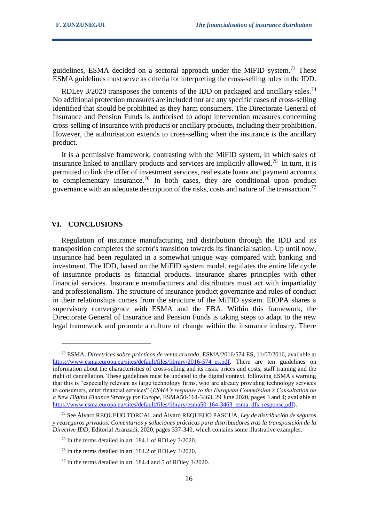guidelines, ESMA decided on a sectoral approach under the MiFID system.<sup>73</sup> These ESMA guidelines must serve as criteria for interpreting the cross-selling rules in the IDD.

RDLey 3/2020 transposes the contents of the IDD on packaged and ancillary sales.<sup>74</sup> No additional protection measures are included nor are any specific cases of cross-selling identified that should be prohibited as they harm consumers. The Directorate General of Insurance and Pension Funds is authorised to adopt intervention measures concerning cross-selling of insurance with products or ancillary products, including their prohibition. However, the authorisation extends to cross-selling when the insurance is the ancillary product.

It is a permissive framework, contrasting with the MiFID system, in which sales of insurance linked to ancillary products and services are implicitly allowed.<sup>75</sup> In turn, it is permitted to link the offer of investment services, real estate loans and payment accounts to complementary insurance.<sup>76</sup> In both cases, they are conditional upon product governance with an adequate description of the risks, costs and nature of the transaction.<sup>77</sup>

### **VI. CONCLUSIONS**

Regulation of insurance manufacturing and distribution through the IDD and its transposition completes the sector's transition towards its financialisation. Up until now, insurance had been regulated in a somewhat unique way compared with banking and investment. The IDD, based on the MiFID system model, regulates the entire life cycle of insurance products as financial products. Insurance shares principles with other financial services. Insurance manufacturers and distributors must act with impartiality and professionalism. The structure of insurance product governance and rules of conduct in their relationships comes from the structure of the MiFID system. EIOPA shares a supervisory convergence with ESMA and the EBA. Within this framework, the Directorate General of Insurance and Pension Funds is taking steps to adapt to the new legal framework and promote a culture of change within the insurance industry. There

<sup>73</sup> ESMA, *Directrices sobre prácticas de venta cruzada*, ESMA/2016/574 ES, 11/07/2016, available at [https://www.esma.europa.eu/sites/default/files/library/2016-574\\_es.pdf.](https://www.esma.europa.eu/sites/default/files/library/2016-574_es.pdf) There are ten guidelines on information about the characteristics of cross-selling and its risks, prices and costs, staff training and the right of cancellation. These guidelines must be updated to the digital context, following ESMA's warning that this is "especially relevant as large technology firms, who are already providing technology services to consumers, enter financial services" (*ESMA's response to the European Commission's Consultation on a New Digital Finance Strategy for Europe*, ESMA50-164-3463, 29 June 2020, pages 3 and 4; available at https://www.esma.europa.eu/sites/default/files/library/esma50-164-3463 esma dfs response.pdf).

<sup>74</sup> See Álvaro REQUEIJO TORCAL and Álvaro REQUEIJO PASCUA, *Ley de distribución de seguros y reaseguros privados. Comentarios y soluciones prácticas para distribuidores tras la transposición de la Directive IDD*, Editorial Aranzadi, 2020, pages 337-340, which contains some illustrative examples.

<sup>75</sup> In the terms detailed in art. 184.1 of RDLey 3/2020.

<sup>76</sup> In the terms detailed in art. 184.2 of RDLey 3/2020.

<sup>77</sup> In the terms detailed in art. 184.4 and 5 of RDley 3/2020.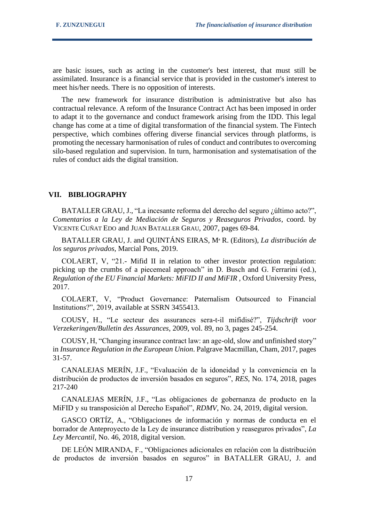are basic issues, such as acting in the customer's best interest, that must still be assimilated. Insurance is a financial service that is provided in the customer's interest to meet his/her needs. There is no opposition of interests.

The new framework for insurance distribution is administrative but also has contractual relevance. A reform of the Insurance Contract Act has been imposed in order to adapt it to the governance and conduct framework arising from the IDD. This legal change has come at a time of digital transformation of the financial system. The Fintech perspective, which combines offering diverse financial services through platforms, is promoting the necessary harmonisation of rules of conduct and contributes to overcoming silo-based regulation and supervision. In turn, harmonisation and systematisation of the rules of conduct aids the digital transition.

#### **VII. BIBLIOGRAPHY**

BATALLER GRAU, J., "La incesante reforma del derecho del seguro ¿último acto?", *Comentarios a la Ley de Mediación de Seguros y Reaseguros Privados*, coord. by VICENTE CUÑAT EDO and JUAN BATALLER GRAU, 2007, pages 69-84.

BATALLER GRAU, J. and QUINTÁNS EIRAS, Mª R. (Editors), *La distribución de los seguros privados,* Marcial Pons, 2019.

COLAERT, V, "21.- Mifid II in relation to other investor protection regulation: picking up the crumbs of a piecemeal approach" in D. Busch and G. Ferrarini (ed.), *Regulation of the EU Financial Markets: MiFID II and MiFIR, Oxford University Press,* 2017.

COLAERT, V, "Product Governance: Paternalism Outsourced to Financial Institutions?", 2019, available at SSRN 3455413.

COUSY, H., "Le secteur des assurances sera-t-il mifidisé?", *Tijdschrift voor Verzekeringen/Bulletin des Assurances*, 2009, vol. 89, no 3, pages 245-254.

COUSY, H, "Changing insurance contract law: an age-old, slow and unfinished story" in *Insurance Regulation in the European Union*. Palgrave Macmillan, Cham, 2017, pages 31-57.

CANALEJAS MERÍN, J.F., "Evaluación de la idoneidad y la conveniencia en la distribución de productos de inversión basados en seguros", *RES*, No. 174, 2018, pages 217-240

CANALEJAS MERÍN, J.F., "Las obligaciones de gobernanza de producto en la MiFID y su transposición al Derecho Español", *RDMV*, No. 24, 2019, digital version.

GASCO ORTÍZ, A., "Obligaciones de información y normas de conducta en el borrador de Anteproyecto de la Ley de insurance distribution y reaseguros privados", *La Ley Mercantil*, No. 46, 2018, digital version.

DE LEÓN MIRANDA, F., "Obligaciones adicionales en relación con la distribución de productos de inversión basados en seguros" in BATALLER GRAU, J. and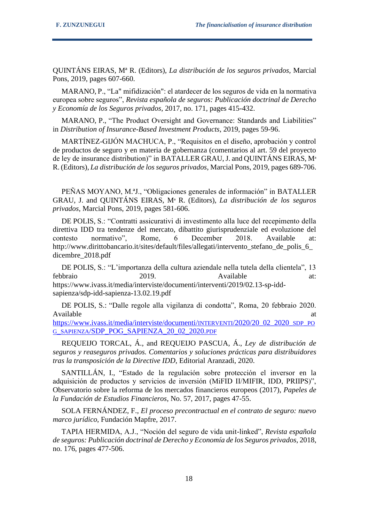QUINTÁNS EIRAS, Mª R. (Editors), *La distribución de los seguros privados,* Marcial Pons, 2019, pages 607-660.

MARANO, P., "La" mifidización": el atardecer de los seguros de vida en la normativa europea sobre seguros", *Revista española de seguros: Publicación doctrinal de Derecho y Economía de los Seguros privados*, 2017, no. 171, pages 415-432.

MARANO, P., "The Product Oversight and Governance: Standards and Liabilities" in *Distribution of Insurance-Based Investment Products*, 2019, pages 59-96.

MARTÍNEZ-GIJÓN MACHUCA, P., "Requisitos en el diseño, aprobación y control de productos de seguro y en materia de gobernanza (comentarios al art. 59 del proyecto de ley de insurance distribution)" in BATALLER GRAU,J. and QUINTÁNS EIRAS, Mª R. (Editors), *La distribución de los seguros privados,* Marcial Pons, 2019, pages 689-706.

PEÑAS MOYANO, M.ªJ., "Obligaciones generales de información" in BATALLER GRAU, J. and QUINTÁNS EIRAS, Mª R. (Editors), *La distribución de los seguros privados,* Marcial Pons, 2019, pages 581-606.

DE POLIS, S.: "Contratti assicurativi di investimento alla luce del recepimento della direttiva IDD tra tendenze del mercato, dibattito giurisprudenziale ed evoluzione del contesto normativo", Rome, 6 December 2018. Available at: http://www.dirittobancario.it/sites/default/files/allegati/intervento\_stefano\_de\_polis\_6\_ dicembre\_2018.pdf

DE POLIS, S.: "L'importanza della cultura aziendale nella tutela della clientela", 13 febbraio 2019. Available at: https://www.ivass.it/media/interviste/documenti/interventi/2019/02.13-sp-iddsapienza/sdp-idd-sapienza-13.02.19.pdf

DE POLIS, S.: "Dalle regole alla vigilanza di condotta", Roma, 20 febbraio 2020. Available at a state of  $\alpha$  at a state of  $\alpha$  at a state of  $\alpha$  at a state of  $\alpha$  at a state of  $\alpha$  at a state of  $\alpha$  at a state of  $\alpha$  at a state of  $\alpha$  at a state of  $\alpha$  at a state of  $\alpha$  at a state of  $\alpha$  at [https://www.ivass.it/media/interviste/documenti/](https://www.ivass.it/media/interviste/documenti/interventi/2020/20_02_2020_sdp_pog_sapienza/SDP_POG_SAPIENZA_20_02_2020.pdf)INTERVENTI/2020/20\_02\_2020\_SDP\_PO G\_SAPIENZA[/SDP\\_POG\\_SAPIENZA\\_20\\_02\\_2020.](https://www.ivass.it/media/interviste/documenti/interventi/2020/20_02_2020_sdp_pog_sapienza/SDP_POG_SAPIENZA_20_02_2020.pdf)PDF

REQUEIJO TORCAL, Á., and REQUEIJO PASCUA, Á., *Ley de distribución de seguros y reaseguros privados. Comentarios y soluciones prácticas para distribuidores tras la transposición de la Directive IDD*, Editorial Aranzadi, 2020.

SANTILLÁN, I., "Estado de la regulación sobre protección el inversor en la adquisición de productos y servicios de inversión (MiFID II/MIFIR, IDD, PRIIPS)", Observatorio sobre la reforma de los mercados financieros europeos (2017), *Papeles de la Fundación de Estudios Financieros*, No. 57, 2017, pages 47-55.

SOLA FERNÁNDEZ, F., *El proceso precontractual en el contrato de seguro: nuevo marco jurídico*, Fundación Mapfre, 2017.

TAPIA HERMIDA, A.J., "Noción del seguro de vida unit-linked", *Revista española de seguros: Publicación doctrinal de Derecho y Economía de los Seguros privados*, 2018, no. 176, pages 477-506.